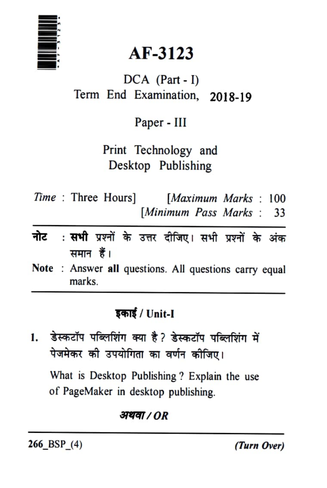

# AF-3123

# DCA (Part - 1) Term End Examination, 2018-19

Paper - III

Print Technology and Desktop Publishing

|  | <i>Time</i> : Three Hours] | [Maximum Marks: 100     |  |  |  |
|--|----------------------------|-------------------------|--|--|--|
|  |                            | [Minimum Pass Marks: 33 |  |  |  |

|  |           |  | <b>नोट : सभी</b> प्रश्नों के उत्तर दीजिए। सभी प्रश्नों के अंक |  |  |
|--|-----------|--|---------------------------------------------------------------|--|--|
|  | समान हैं। |  |                                                               |  |  |

Note : Answer all questions. All questions carry equal marks.

# इकाई /  $Unit-I$

डेस्कटॉप पब्लिशिंग क्या है ? डेस्कटॉप पब्लिशिंग में 1. पेजमेकर की उपयोगिता का वर्णन कीजिए।

What is Desktop Publishing ? Explain the use of PageMaker in desktop publishing

7YT/OR

 $266$  $BSP_4)$  (Turn Over)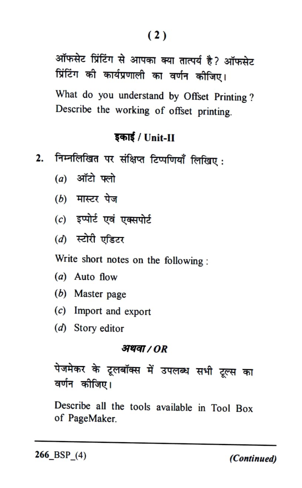ऑफसेट प्रिंटिंग से आपका क्या तात्पर्य है? ऑफसेट प्रिंटिंग की कार्यप्रणाली का वर्णन कीजिए। What do you understand by Offset Printing? Describe the working of offset printing.

#### इकाई /  $Unit-II$

- निम्नलिखित पर संक्षिप्त टिप्पणियाँ लिखिए:  $2.$ 
	- $(a)$  ऑटो फ्लो
	- $(b)$  मास्टर पेज
	- $(c)$  इप्पोर्ट एवं एक्सपोर्ट
	- (d) स्टोरी एडिटर

Write short notes on the following:

- (a) Auto flow
- (b) Master page
- (c) Import and export
- (d) Story editor

#### अथवा / OR

पेजमेकर के टूलबॉक्स में उपलब्ध सभी टूल्स का वर्णन कोजिए।

Describe all the tools available in Tool Box of PageMaker.

 $266$  BSP  $(4)$ 

(Continued)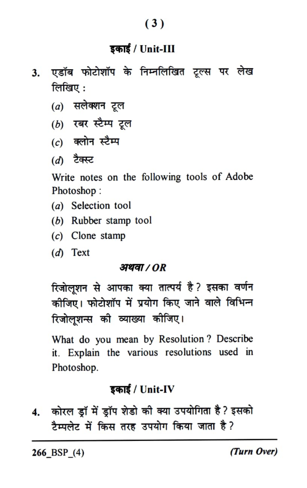#### (3)

### इकाई / Unit-III

- 3. एडॉब फोटोशॉप के निम्नलिखित टूल्स पर लेख<br>लिखिए:
	- $(a)$  सलेक्शन टूल
	- $(b)$  रबर स्टैम्प टूल
	- (c) क्लोन स्टैम्प
	- $(d)$  टैक्स्ट

Write notes on the following tools of Adobe Photoshop:

- (a) Selection tool
- (b) Rubber stamp tool
- $(c)$  Clone stamp
- $(d)$  Text

#### अथवा / OR

रिजोलूशन से आपका क्या तात्पर्य है ? इसका वर्णन कीजिए। फोटोशॉप में प्रयोग किए जाने वाले विभिन्न रिजोलुशन्स की व्याख्या कीजिए।

What do you mean by Resolution ? Describe it. Explain the various resolutions used in Photoshop.

# इकाई /  $Unit$ -IV

कोरल डॉ में ड्रॉप शेडो की क्या उपयोगिता है ? इसको  $\mathbf{A}$ टैम्पलेट में किस तरह उपयोग किया जाता है?

266 BSP (4) (Turn Over)